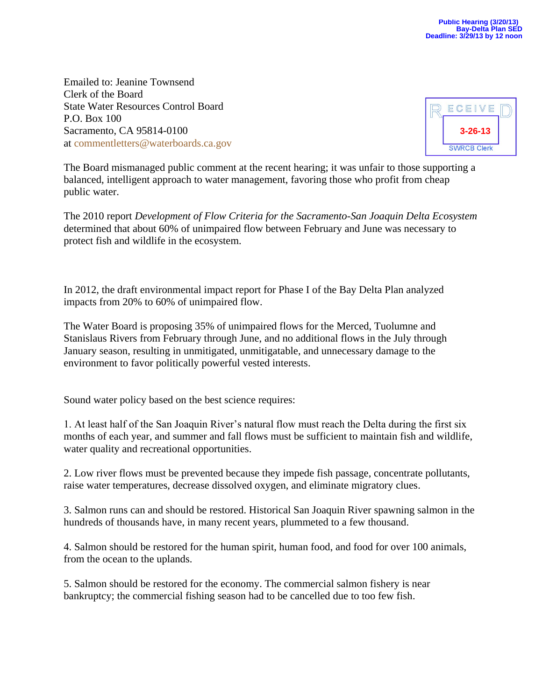Emailed to: Jeanine Townsend Clerk of the Board State Water Resources Control Board P.O. Box 100 Sacramento, CA 95814-0100 at [commentletters@waterboards.ca.gov](mailto:commentletters@waterboards.ca.gov)



The Board mismanaged public comment at the recent hearing; it was unfair to those supporting a balanced, intelligent approach to water management, favoring those who profit from cheap public water.

The 2010 report *Development of Flow Criteria for the Sacramento-San Joaquin Delta Ecosystem* determined that about 60% of unimpaired flow between February and June was necessary to protect fish and wildlife in the ecosystem.

In 2012, the draft environmental impact report for Phase I of the Bay Delta Plan analyzed impacts from 20% to 60% of unimpaired flow.

The Water Board is proposing 35% of unimpaired flows for the Merced, Tuolumne and Stanislaus Rivers from February through June, and no additional flows in the July through January season, resulting in unmitigated, unmitigatable, and unnecessary damage to the environment to favor politically powerful vested interests.

Sound water policy based on the best science requires:

1. At least half of the San Joaquin River's natural flow must reach the Delta during the first six months of each year, and summer and fall flows must be sufficient to maintain fish and wildlife, water quality and recreational opportunities.

2. Low river flows must be prevented because they impede fish passage, concentrate pollutants, raise water temperatures, decrease dissolved oxygen, and eliminate migratory clues.

3. Salmon runs can and should be restored. Historical San Joaquin River spawning salmon in the hundreds of thousands have, in many recent years, plummeted to a few thousand.

4. Salmon should be restored for the human spirit, human food, and food for over 100 animals, from the ocean to the uplands.

5. Salmon should be restored for the economy. The commercial salmon fishery is near bankruptcy; the commercial fishing season had to be cancelled due to too few fish.